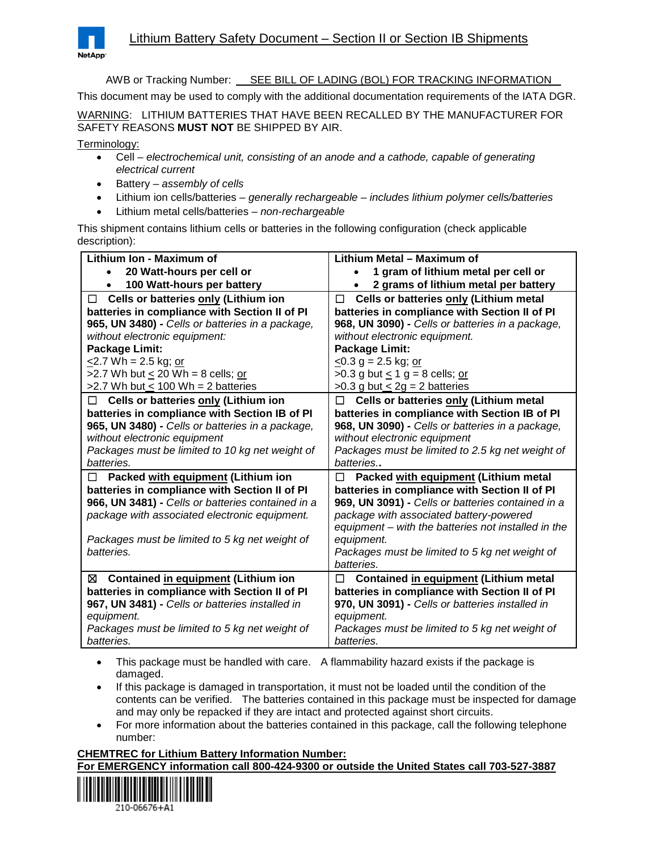

AWB or Tracking Number: SEE BILL OF LADING (BOL) FOR TRACKING INFORMATION

This document may be used to comply with the additional documentation requirements of the IATA DGR.

WARNING: LITHIUM BATTERIES THAT HAVE BEEN RECALLED BY THE MANUFACTURER FOR SAFETY REASONS **MUST NOT** BE SHIPPED BY AIR.

Terminology:

- Cell *electrochemical unit, consisting of an anode and a cathode, capable of generating electrical current*
- Battery *assembly of cells*
- Lithium ion cells/batteries *generally rechargeable – includes lithium polymer cells/batteries*
- Lithium metal cells/batteries *non-rechargeable*

This shipment contains lithium cells or batteries in the following configuration (check applicable description):

| Lithium Ion - Maximum of                          | Lithium Metal - Maximum of                          |
|---------------------------------------------------|-----------------------------------------------------|
| 20 Watt-hours per cell or                         | 1 gram of lithium metal per cell or                 |
| 100 Watt-hours per battery                        | 2 grams of lithium metal per battery                |
| Cells or batteries only (Lithium ion<br>$\Box$    | Cells or batteries only (Lithium metal<br>□         |
| batteries in compliance with Section II of PI     | batteries in compliance with Section II of PI       |
| 965, UN 3480) - Cells or batteries in a package,  | 968, UN 3090) - Cells or batteries in a package,    |
| without electronic equipment:                     | without electronic equipment.                       |
| Package Limit:                                    | <b>Package Limit:</b>                               |
| $\leq$ 2.7 Wh = 2.5 kg; or                        | $<$ 0.3 g = 2.5 kg; or                              |
| $>2.7$ Wh but < 20 Wh = 8 cells; or               | >0.3 g but $\leq 1$ g = 8 cells; or                 |
| $>2.7$ Wh but < 100 Wh = 2 batteries              | >0.3 g but $\leq$ 2g = 2 batteries                  |
| Cells or batteries only (Lithium ion<br>$\Box$    | Cells or batteries only (Lithium metal<br>$\perp$   |
| batteries in compliance with Section IB of PI     | batteries in compliance with Section IB of PI       |
| 965, UN 3480) - Cells or batteries in a package,  | 968, UN 3090) - Cells or batteries in a package,    |
| without electronic equipment                      | without electronic equipment                        |
| Packages must be limited to 10 kg net weight of   | Packages must be limited to 2.5 kg net weight of    |
| batteries.                                        | batteries                                           |
| Packed with equipment (Lithium ion<br>П           | Packed with equipment (Lithium metal<br>$\perp$     |
| batteries in compliance with Section II of PI     | batteries in compliance with Section II of PI       |
| 966, UN 3481) - Cells or batteries contained in a | 969, UN 3091) - Cells or batteries contained in a   |
| package with associated electronic equipment.     | package with associated battery-powered             |
|                                                   | equipment - with the batteries not installed in the |
| Packages must be limited to 5 kg net weight of    | equipment.                                          |
| batteries.                                        | Packages must be limited to 5 kg net weight of      |
|                                                   | batteries.                                          |
| Contained in equipment (Lithium ion<br>⊠          | Contained in equipment (Lithium metal<br>□          |
| batteries in compliance with Section II of PI     | batteries in compliance with Section II of PI       |
| 967, UN 3481) - Cells or batteries installed in   | 970, UN 3091) - Cells or batteries installed in     |
| equipment.                                        | equipment.                                          |
| Packages must be limited to 5 kg net weight of    | Packages must be limited to 5 kg net weight of      |
| batteries.                                        | batteries.                                          |

- This package must be handled with care. A flammability hazard exists if the package is damaged.
- If this package is damaged in transportation, it must not be loaded until the condition of the contents can be verified. The batteries contained in this package must be inspected for damage and may only be repacked if they are intact and protected against short circuits.
- For more information about the batteries contained in this package, call the following telephone number:

#### **CHEMTREC for Lithium Battery Information Number:**

#### **For EMERGENCY information call 800-424-9300 or outside the United States call 703-527-3887**



210-06676+41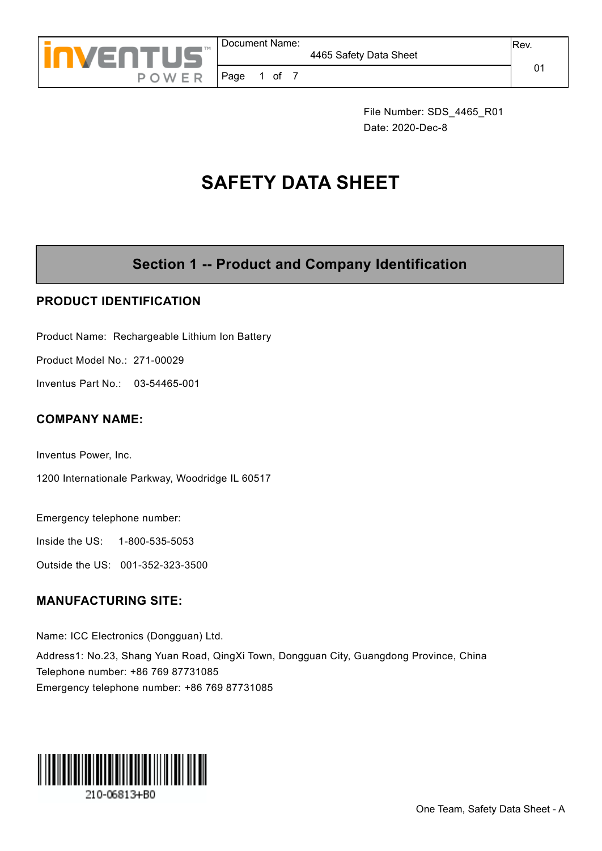

Page 1 of 7

File Number: SDS\_4465\_R01 Date: 2020-Dec-8

# **SAFETY DATA SHEET**

## **Section 1 -- Product and Company Identification**

#### **PRODUCT IDENTIFICATION**

Product Name: Rechargeable Lithium Ion Battery

Product Model No.: 271-00029

Inventus Part No.: 03-54465-001

#### **COMPANY NAME:**

Inventus Power, Inc.

1200 Internationale Parkway, Woodridge IL 60517

Emergency telephone number:

Inside the US: 1-800-535-5053

Outside the US: 001-352-323-3500

#### **MANUFACTURING SITE:**

Name: ICC Electronics (Dongguan) Ltd. Address1: No.23, Shang Yuan Road, QingXi Town, Dongguan City, Guangdong Province, China Telephone number: +86 769 87731085 Emergency telephone number: +86 769 87731085

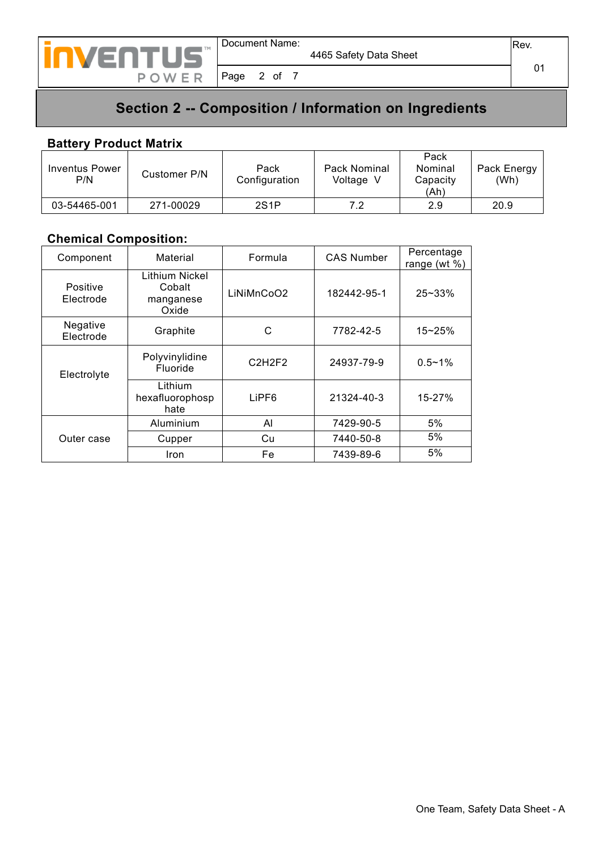

Page 2 of 7

01

## **Section 2 -- Composition / Information on Ingredients**

#### **Battery Product Matrix**

| Inventus Power<br>P/N | Customer P/N | Pack<br>Configuration | Pack Nominal<br>Voltage V | Pack<br>Nominal<br>Capacity<br>(Ah) | Pack Energy<br>(Wh) |
|-----------------------|--------------|-----------------------|---------------------------|-------------------------------------|---------------------|
| 03-54465-001          | 271-00029    | 2S <sub>1</sub> P     | 7 2                       | 2.9                                 | 20.9                |

#### **Chemical Composition:**

| Component             | Material                                       | Formula                         | <b>CAS Number</b> | Percentage<br>range (wt $%$ ) |
|-----------------------|------------------------------------------------|---------------------------------|-------------------|-------------------------------|
| Positive<br>Electrode | Lithium Nickel<br>Cobalt<br>manganese<br>Oxide | LiNiMnCoO2                      | 182442-95-1       | $25 - 33%$                    |
| Negative<br>Electrode | Graphite                                       | С                               | 7782-42-5         | $15 - 25%$                    |
| Electrolyte           | Polyvinylidine<br>Fluoride                     | C <sub>2</sub> H <sub>2F2</sub> | 24937-79-9        | $0.5 - 1\%$                   |
|                       | Lithium<br>hexafluorophosp<br>hate             | LiPF <sub>6</sub>               | 21324-40-3        | 15-27%                        |
|                       | Aluminium                                      | AI                              | 7429-90-5         | 5%                            |
| Outer case            | Cupper                                         | Cu                              | 7440-50-8         | 5%                            |
|                       | <b>Iron</b>                                    | Fe                              | 7439-89-6         | 5%                            |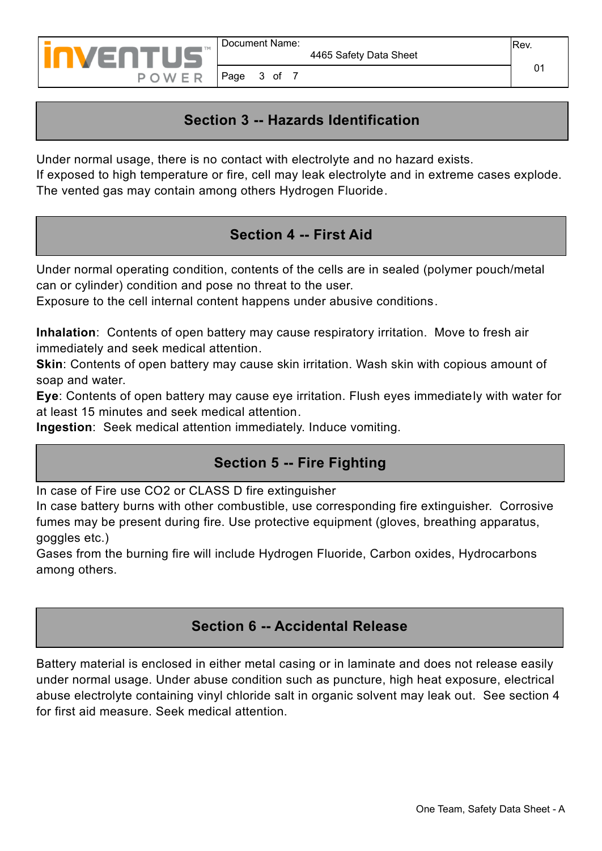

## **Section 3 -- Hazards Identification**

Under normal usage, there is no contact with electrolyte and no hazard exists.

If exposed to high temperature or fire, cell may leak electrolyte and in extreme cases explode. The vented gas may contain among others Hydrogen Fluoride.

### **Section 4 -- First Aid**

Under normal operating condition, contents of the cells are in sealed (polymer pouch/metal can or cylinder) condition and pose no threat to the user.

Exposure to the cell internal content happens under abusive conditions.

**Inhalation**: Contents of open battery may cause respiratory irritation. Move to fresh air immediately and seek medical attention.

**Skin**: Contents of open battery may cause skin irritation. Wash skin with copious amount of soap and water.

**Eye**: Contents of open battery may cause eye irritation. Flush eyes immediately with water for at least 15 minutes and seek medical attention.

**Ingestion**: Seek medical attention immediately. Induce vomiting.

#### **Section 5 -- Fire Fighting**

In case of Fire use CO2 or CLASS D fire extinguisher

In case battery burns with other combustible, use corresponding fire extinguisher. Corrosive fumes may be present during fire. Use protective equipment (gloves, breathing apparatus, goggles etc.)

Gases from the burning fire will include Hydrogen Fluoride, Carbon oxides, Hydrocarbons among others.

#### **Section 6 -- Accidental Release**

Battery material is enclosed in either metal casing or in laminate and does not release easily under normal usage. Under abuse condition such as puncture, high heat exposure, electrical abuse electrolyte containing vinyl chloride salt in organic solvent may leak out. See section 4 for first aid measure. Seek medical attention.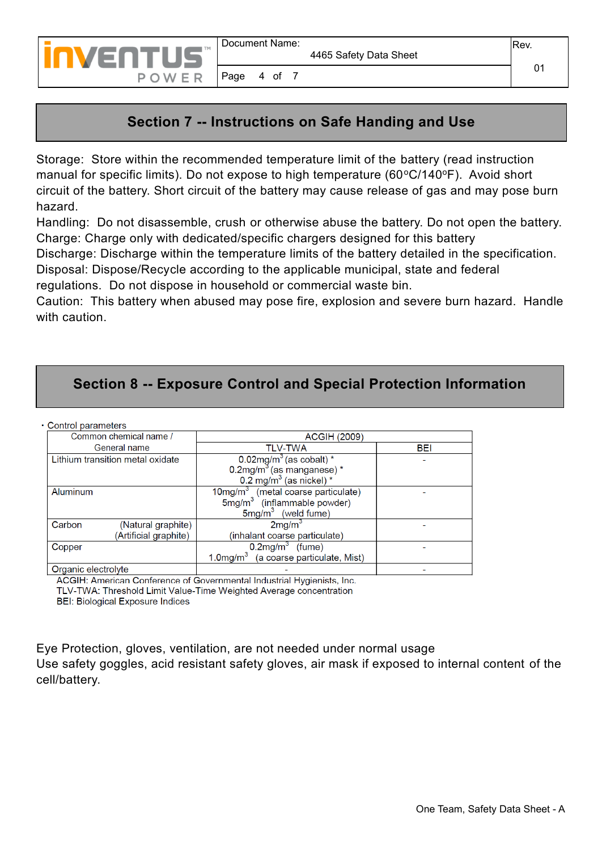

#### **Section 7 -- Instructions on Safe Handing and Use**

Page 4 of 7

Storage: Store within the recommended temperature limit of the battery (read instruction manual for specific limits). Do not expose to high temperature ( $60^{\circ}C/140^{\circ}F$ ). Avoid short circuit of the battery. Short circuit of the battery may cause release of gas and may pose burn hazard.

Handling: Do not disassemble, crush or otherwise abuse the battery. Do not open the battery. Charge: Charge only with dedicated/specific chargers designed for this battery

Discharge: Discharge within the temperature limits of the battery detailed in the specification. Disposal: Dispose/Recycle according to the applicable municipal, state and federal

regulations. Do not dispose in household or commercial waste bin.

Caution: This battery when abused may pose fire, explosion and severe burn hazard. Handle with caution.

#### **Section 8 -- Exposure Control and Special Protection Information**

• Control parameters

| Common chemical name /                                | <b>ACGIH (2009)</b>                                                                                                         |     |  |  |  |
|-------------------------------------------------------|-----------------------------------------------------------------------------------------------------------------------------|-----|--|--|--|
| General name                                          | <b>TLV-TWA</b>                                                                                                              | BEI |  |  |  |
| Lithium transition metal oxidate                      | $0.02$ mg/m <sup>3</sup> (as cobalt) *<br>$0.2$ mg/m <sup>3</sup> (as manganese) *<br>$0.2$ mg/m <sup>3</sup> (as nickel) * |     |  |  |  |
| <b>Aluminum</b>                                       | $10$ mg/m $3$ (metal coarse particulate)<br>$5mg/m3$ (inflammable powder)<br>$5mg/m3$ (weld fume)                           |     |  |  |  |
| Carbon<br>(Natural graphite)<br>(Artificial graphite) | $2$ mg/m $3$<br>(inhalant coarse particulate)                                                                               |     |  |  |  |
| Copper                                                | $0.2$ mg/m <sup>3</sup> (fume)<br>1.0mg/m <sup>3</sup> (a coarse particulate, Mist)                                         |     |  |  |  |
| Organic electrolyte                                   |                                                                                                                             |     |  |  |  |

ACGIH: American Conference of Governmental Industrial Hygienists, Inc.

TLV-TWA: Threshold Limit Value-Time Weighted Average concentration

**BEI: Biological Exposure Indices** 

Eye Protection, gloves, ventilation, are not needed under normal usage

Use safety goggles, acid resistant safety gloves, air mask if exposed to internal content of the cell/battery.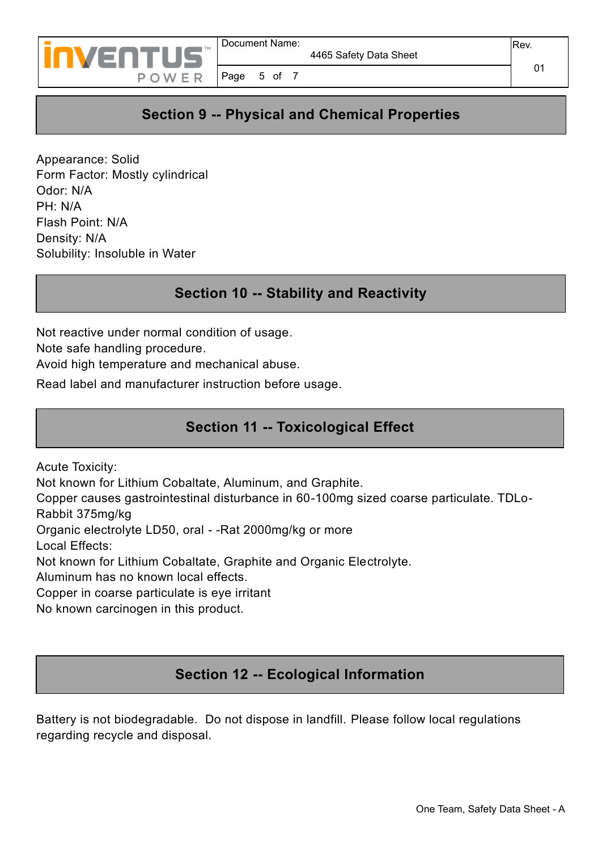

Page 5 of 7

## **Section 9 -- Physical and Chemical Properties**

Appearance: Solid Form Factor: Mostly cylindrical Odor: N/A PH: N/A Flash Point: N/A Density: N/A Solubility: Insoluble in Water

#### **Section 10 -- Stability and Reactivity**

Not reactive under normal condition of usage.

Note safe handling procedure.

Avoid high temperature and mechanical abuse.

Read label and manufacturer instruction before usage.

#### **Section 11 -- Toxicological Effect**

Acute Toxicity:

Not known for Lithium Cobaltate, Aluminum, and Graphite.

Copper causes gastrointestinal disturbance in 60-100mg sized coarse particulate. TDLo-Rabbit 375mg/kg

Organic electrolyte LD50, oral - -Rat 2000mg/kg or more

Local Effects:

Not known for Lithium Cobaltate, Graphite and Organic Electrolyte.

Aluminum has no known local effects.

Copper in coarse particulate is eye irritant

No known carcinogen in this product.

#### **Section 12 -- Ecological Information**

Battery is not biodegradable. Do not dispose in landfill. Please follow local regulations regarding recycle and disposal.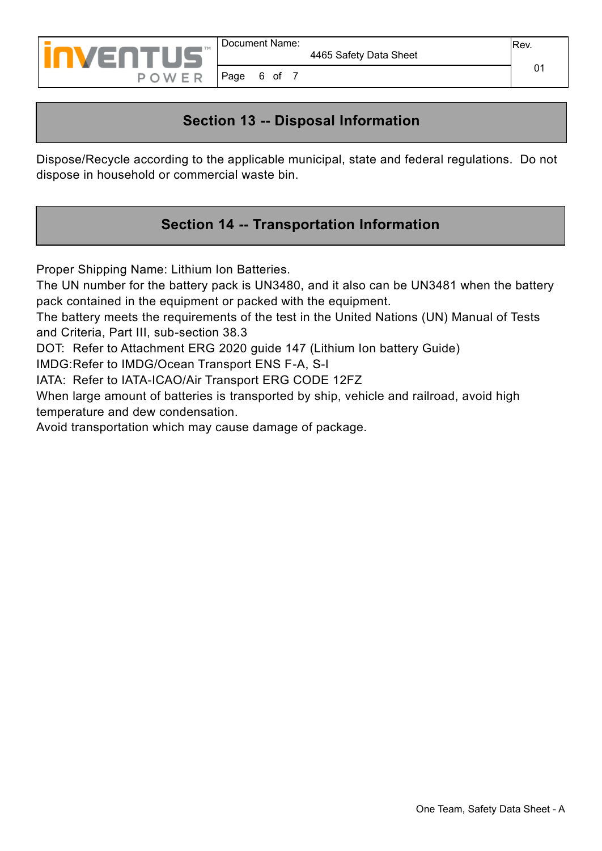

Page 6 of 7

## **Section 13 -- Disposal Information**

Dispose/Recycle according to the applicable municipal, state and federal regulations. Do not dispose in household or commercial waste bin.

## **Section 14 -- Transportation Information**

Proper Shipping Name: Lithium Ion Batteries.

The UN number for the battery pack is UN3480, and it also can be UN3481 when the battery pack contained in the equipment or packed with the equipment.

The battery meets the requirements of the test in the United Nations (UN) Manual of Tests and Criteria, Part III, sub-section 38.3

DOT: Refer to Attachment ERG 2020 guide 147 (Lithium Ion battery Guide)

IMDG:Refer to IMDG/Ocean Transport ENS F-A, S-I

IATA: Refer to IATA-ICAO/Air Transport ERG CODE 12FZ

When large amount of batteries is transported by ship, vehicle and railroad, avoid high temperature and dew condensation.

Avoid transportation which may cause damage of package.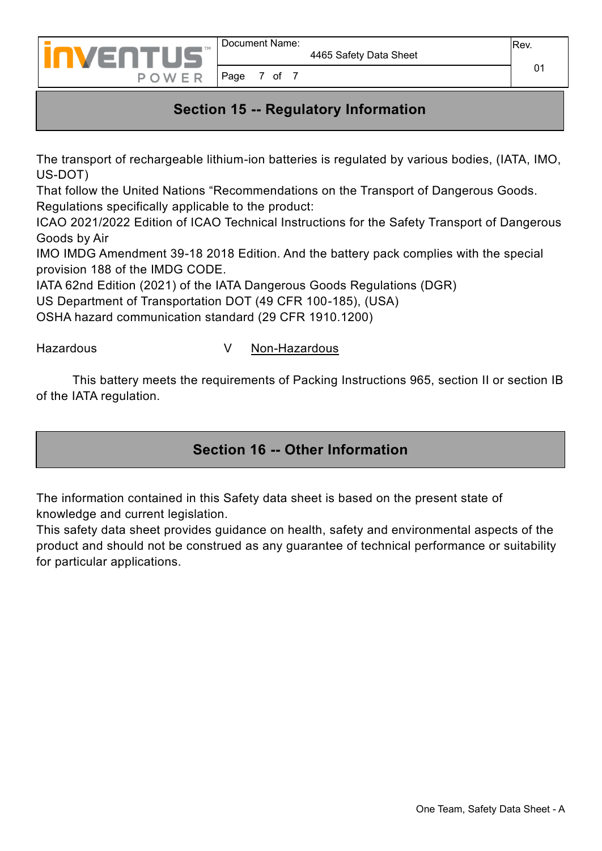

#### **Section 15 -- Regulatory Information**

The transport of rechargeable lithium-ion batteries is regulated by various bodies, (IATA, IMO, US-DOT)

That follow the United Nations "Recommendations on the Transport of Dangerous Goods. Regulations specifically applicable to the product:

ICAO 2021/2022 Edition of ICAO Technical Instructions for the Safety Transport of Dangerous Goods by Air

IMO IMDG Amendment 39-18 2018 Edition. And the battery pack complies with the special provision 188 of the IMDG CODE.

IATA 62nd Edition (2021) of the IATA Dangerous Goods Regulations (DGR)

US Department of Transportation DOT (49 CFR 100-185), (USA)

OSHA hazard communication standard (29 CFR 1910.1200)

#### Hazardous V Non-Hazardous

 This battery meets the requirements of Packing Instructions 965, section II or section IB of the IATA regulation.

#### **Section 16 -- Other Information**

The information contained in this Safety data sheet is based on the present state of knowledge and current legislation.

This safety data sheet provides guidance on health, safety and environmental aspects of the product and should not be construed as any guarantee of technical performance or suitability for particular applications.